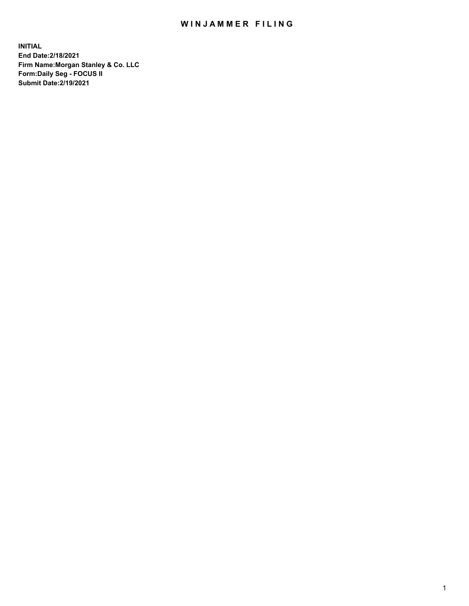## WIN JAMMER FILING

**INITIAL End Date:2/18/2021 Firm Name:Morgan Stanley & Co. LLC Form:Daily Seg - FOCUS II Submit Date:2/19/2021**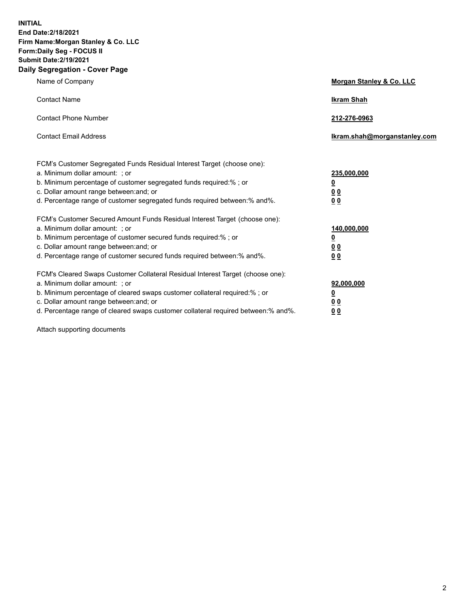**INITIAL End Date:2/18/2021 Firm Name:Morgan Stanley & Co. LLC Form:Daily Seg - FOCUS II Submit Date:2/19/2021 Daily Segregation - Cover Page**

| Name of Company                                                                                                                                                                                                                                                                                                                | <b>Morgan Stanley &amp; Co. LLC</b>                    |
|--------------------------------------------------------------------------------------------------------------------------------------------------------------------------------------------------------------------------------------------------------------------------------------------------------------------------------|--------------------------------------------------------|
| <b>Contact Name</b>                                                                                                                                                                                                                                                                                                            | <b>Ikram Shah</b>                                      |
| <b>Contact Phone Number</b>                                                                                                                                                                                                                                                                                                    | 212-276-0963                                           |
| <b>Contact Email Address</b>                                                                                                                                                                                                                                                                                                   | Ikram.shah@morganstanley.com                           |
| FCM's Customer Segregated Funds Residual Interest Target (choose one):<br>a. Minimum dollar amount: : or<br>b. Minimum percentage of customer segregated funds required:%; or<br>c. Dollar amount range between: and; or<br>d. Percentage range of customer segregated funds required between:% and%.                          | 235,000,000<br><u>0</u><br><u>00</u><br><u>00</u>      |
| FCM's Customer Secured Amount Funds Residual Interest Target (choose one):<br>a. Minimum dollar amount: ; or<br>b. Minimum percentage of customer secured funds required:%; or<br>c. Dollar amount range between: and; or<br>d. Percentage range of customer secured funds required between:% and%.                            | 140,000,000<br><u>0</u><br><u>00</u><br>0 <sub>0</sub> |
| FCM's Cleared Swaps Customer Collateral Residual Interest Target (choose one):<br>a. Minimum dollar amount: ; or<br>b. Minimum percentage of cleared swaps customer collateral required:% ; or<br>c. Dollar amount range between: and; or<br>d. Percentage range of cleared swaps customer collateral required between:% and%. | 92,000,000<br><u>0</u><br><u>00</u><br>00              |

Attach supporting documents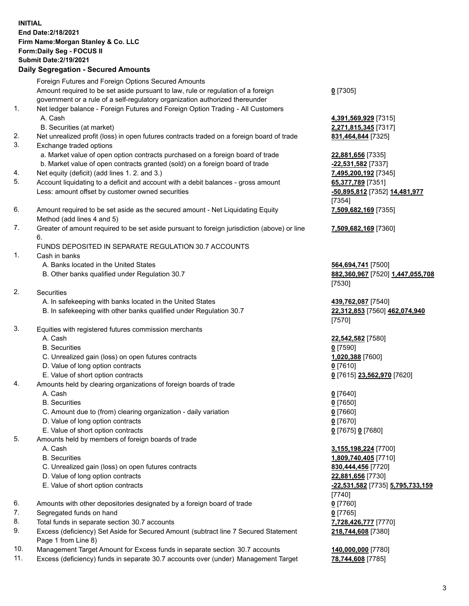## **INITIAL End Date:2/18/2021 Firm Name:Morgan Stanley & Co. LLC Form:Daily Seg - FOCUS II Submit Date:2/19/2021**

## **Daily Segregation - Secured Amounts**

Foreign Futures and Foreign Options Secured Amounts Amount required to be set aside pursuant to law, rule or regulation of a foreign government or a rule of a self-regulatory organization authorized thereunder 1. Net ledger balance - Foreign Futures and Foreign Option Trading - All Customers A. Cash **4,391,569,929** [7315] B. Securities (at market) **2,271,815,345** [7317] 2. Net unrealized profit (loss) in open futures contracts traded on a foreign board of trade **831,464,844** [7325] 3. Exchange traded options

- a. Market value of open option contracts purchased on a foreign board of trade **22,881,656** [7335]
- b. Market value of open contracts granted (sold) on a foreign board of trade **-22,531,582** [7337]
- 4. Net equity (deficit) (add lines 1. 2. and 3.) **7,495,200,192** [7345]
- 5. Account liquidating to a deficit and account with a debit balances gross amount **65,377,789** [7351] Less: amount offset by customer owned securities **-50,895,812** [7352] **14,481,977**
- 6. Amount required to be set aside as the secured amount Net Liquidating Equity Method (add lines 4 and 5)
- 7. Greater of amount required to be set aside pursuant to foreign jurisdiction (above) or line 6.

## FUNDS DEPOSITED IN SEPARATE REGULATION 30.7 ACCOUNTS

- 1. Cash in banks
	- A. Banks located in the United States **564,694,741** [7500]
	- B. Other banks qualified under Regulation 30.7 **882,360,967** [7520] **1,447,055,708**
- 2. Securities
	- A. In safekeeping with banks located in the United States **439,762,087** [7540]
	- B. In safekeeping with other banks qualified under Regulation 30.7 **22,312,853** [7560] **462,074,940**
- 3. Equities with registered futures commission merchants
	-
	- B. Securities **0** [7590]
	- C. Unrealized gain (loss) on open futures contracts **1,020,388** [7600]
	- D. Value of long option contracts **0** [7610]
	- E. Value of short option contracts **0** [7615] **23,562,970** [7620]
- 4. Amounts held by clearing organizations of foreign boards of trade
	- A. Cash **0** [7640]
	- B. Securities **0** [7650]
	- C. Amount due to (from) clearing organization daily variation **0** [7660]
	- D. Value of long option contracts **0** [7670]
	- E. Value of short option contracts **0** [7675] **0** [7680]
- 5. Amounts held by members of foreign boards of trade
	-
	-
	- C. Unrealized gain (loss) on open futures contracts **830,444,456** [7720]
	- D. Value of long option contracts **22,881,656** [7730]
	- E. Value of short option contracts **-22,531,582** [7735] **5,795,733,159**
- 6. Amounts with other depositories designated by a foreign board of trade **0** [7760]
- 7. Segregated funds on hand **0** [7765]
- 8. Total funds in separate section 30.7 accounts **7,728,426,777** [7770]
- 9. Excess (deficiency) Set Aside for Secured Amount (subtract line 7 Secured Statement Page 1 from Line 8)
- 10. Management Target Amount for Excess funds in separate section 30.7 accounts **140,000,000** [7780]
- 11. Excess (deficiency) funds in separate 30.7 accounts over (under) Management Target **78,744,608** [7785]

**0** [7305]

[7354] **7,509,682,169** [7355]

**7,509,682,169** [7360]

[7530]

[7570]

A. Cash **22,542,582** [7580]

 A. Cash **3,155,198,224** [7700] B. Securities **1,809,740,405** [7710] [7740] **218,744,608** [7380]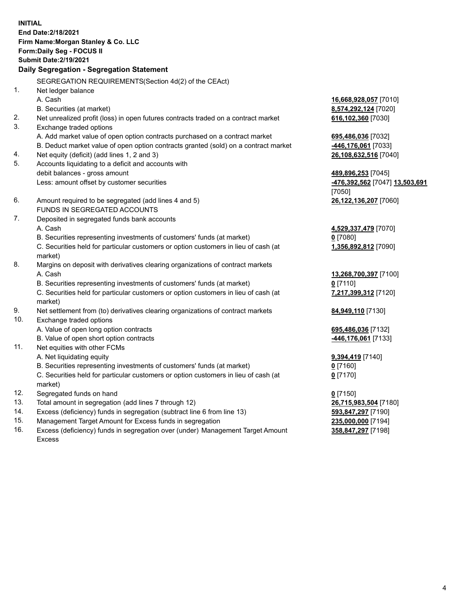**INITIAL End Date:2/18/2021 Firm Name:Morgan Stanley & Co. LLC Form:Daily Seg - FOCUS II Submit Date:2/19/2021 Daily Segregation - Segregation Statement** SEGREGATION REQUIREMENTS(Section 4d(2) of the CEAct) 1. Net ledger balance A. Cash **16,668,928,057** [7010] B. Securities (at market) **8,574,292,124** [7020] 2. Net unrealized profit (loss) in open futures contracts traded on a contract market **616,102,360** [7030] 3. Exchange traded options A. Add market value of open option contracts purchased on a contract market **695,486,036** [7032] B. Deduct market value of open option contracts granted (sold) on a contract market **-446,176,061** [7033] 4. Net equity (deficit) (add lines 1, 2 and 3) **26,108,632,516** [7040] 5. Accounts liquidating to a deficit and accounts with debit balances - gross amount **489,896,253** [7045] Less: amount offset by customer securities **-476,392,562** [7047] **13,503,691** [7050] 6. Amount required to be segregated (add lines 4 and 5) **26,122,136,207** [7060] FUNDS IN SEGREGATED ACCOUNTS 7. Deposited in segregated funds bank accounts A. Cash **4,529,337,479** [7070] B. Securities representing investments of customers' funds (at market) **0** [7080] C. Securities held for particular customers or option customers in lieu of cash (at market) **1,356,892,812** [7090] 8. Margins on deposit with derivatives clearing organizations of contract markets A. Cash **13,268,700,397** [7100] B. Securities representing investments of customers' funds (at market) **0** [7110] C. Securities held for particular customers or option customers in lieu of cash (at market) **7,217,399,312** [7120] 9. Net settlement from (to) derivatives clearing organizations of contract markets **84,949,110** [7130] 10. Exchange traded options A. Value of open long option contracts **695,486,036** [7132] B. Value of open short option contracts **-446,176,061** [7133] 11. Net equities with other FCMs A. Net liquidating equity **9,394,419** [7140] B. Securities representing investments of customers' funds (at market) **0** [7160] C. Securities held for particular customers or option customers in lieu of cash (at market) **0** [7170] 12. Segregated funds on hand **0** [7150] 13. Total amount in segregation (add lines 7 through 12) **26,715,983,504** [7180] 14. Excess (deficiency) funds in segregation (subtract line 6 from line 13) **593,847,297** [7190] 15. Management Target Amount for Excess funds in segregation **235,000,000** [7194]

- 16. Excess (deficiency) funds in segregation over (under) Management Target Amount
	- Excess

**358,847,297** [7198]